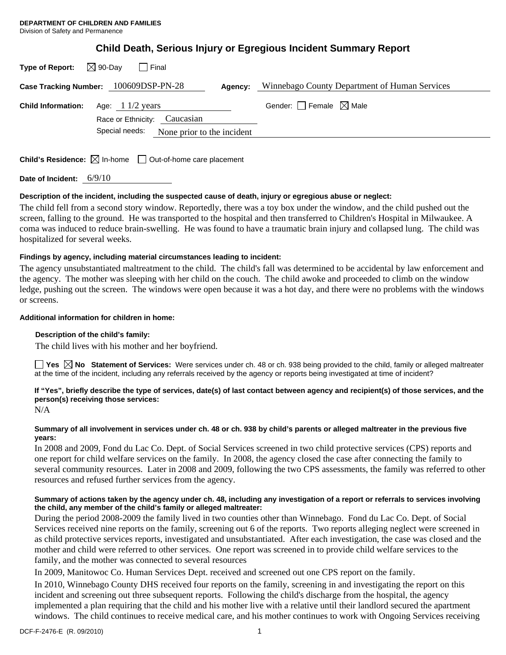# **Child Death, Serious Injury or Egregious Incident Summary Report**

| $\boxtimes$ 90-Day<br>Type of Report:<br>Final                                  |                                               |
|---------------------------------------------------------------------------------|-----------------------------------------------|
| Case Tracking Number: 100609DSP-PN-28<br>Agency:                                | Winnebago County Department of Human Services |
| Age: $11/2$ years<br><b>Child Information:</b><br>Race or Ethnicity: Caucasian  | Gender: Female $\boxtimes$ Male               |
| Special needs:<br>None prior to the incident                                    |                                               |
| <b>Child's Residence:</b> $\boxtimes$ In-home $\Box$ Out-of-home care placement |                                               |

**Date of Incident:** 6/9/10

## **Description of the incident, including the suspected cause of death, injury or egregious abuse or neglect:**

The child fell from a second story window. Reportedly, there was a toy box under the window, and the child pushed out the screen, falling to the ground. He was transported to the hospital and then transferred to Children's Hospital in Milwaukee. A coma was induced to reduce brain-swelling. He was found to have a traumatic brain injury and collapsed lung. The child was hospitalized for several weeks.

## **Findings by agency, including material circumstances leading to incident:**

The agency unsubstantiated maltreatment to the child. The child's fall was determined to be accidental by law enforcement and the agency. The mother was sleeping with her child on the couch. The child awoke and proceeded to climb on the window ledge, pushing out the screen. The windows were open because it was a hot day, and there were no problems with the windows or screens.

## **Additional information for children in home:**

## **Description of the child's family:**

The child lives with his mother and her boyfriend.

**Yes No Statement of Services:** Were services under ch. 48 or ch. 938 being provided to the child, family or alleged maltreater at the time of the incident, including any referrals received by the agency or reports being investigated at time of incident?

## **If "Yes", briefly describe the type of services, date(s) of last contact between agency and recipient(s) of those services, and the person(s) receiving those services:**

N/A

## **Summary of all involvement in services under ch. 48 or ch. 938 by child's parents or alleged maltreater in the previous five years:**

In 2008 and 2009, Fond du Lac Co. Dept. of Social Services screened in two child protective services (CPS) reports and one report for child welfare services on the family. In 2008, the agency closed the case after connecting the family to several community resources. Later in 2008 and 2009, following the two CPS assessments, the family was referred to other resources and refused further services from the agency.

## **Summary of actions taken by the agency under ch. 48, including any investigation of a report or referrals to services involving the child, any member of the child's family or alleged maltreater:**

During the period 2008-2009 the family lived in two counties other than Winnebago. Fond du Lac Co. Dept. of Social Services received nine reports on the family, screening out 6 of the reports. Two reports alleging neglect were screened in as child protective services reports, investigated and unsubstantiated. After each investigation, the case was closed and the mother and child were referred to other services. One report was screened in to provide child welfare services to the family, and the mother was connected to several resources

In 2009, Manitowoc Co. Human Services Dept. received and screened out one CPS report on the family.

In 2010, Winnebago County DHS received four reports on the family, screening in and investigating the report on this incident and screening out three subsequent reports. Following the child's discharge from the hospital, the agency implemented a plan requiring that the child and his mother live with a relative until their landlord secured the apartment windows. The child continues to receive medical care, and his mother continues to work with Ongoing Services receiving